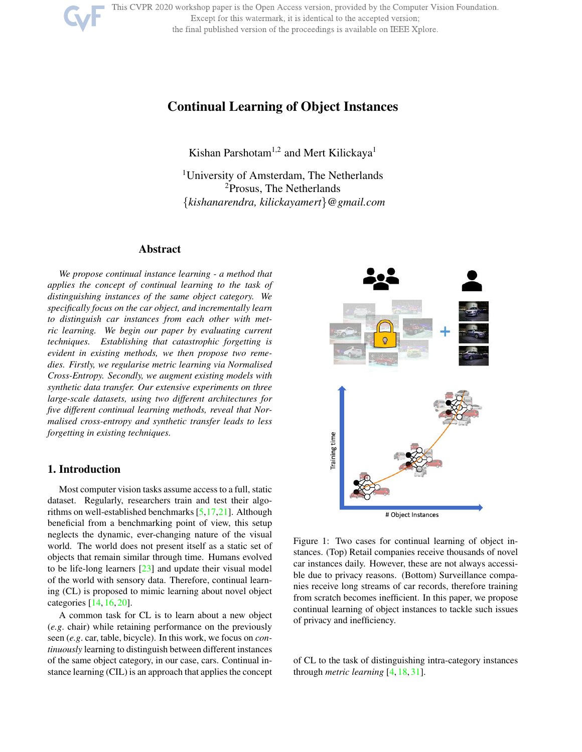This CVPR 2020 workshop paper is the Open Access version, provided by the Computer Vision Foundation.

Except for this watermark, it is identical to the accepted version;

the final published version of the proceedings is available on IEEE Xplore.

# Continual Learning of Object Instances

Kishan Parshotam<sup>1,2</sup> and Mert Kilickaya<sup>1</sup>

<sup>1</sup>University of Amsterdam, The Netherlands <sup>2</sup>Prosus, The Netherlands {*kishanarendra, kilickayamert*}*@gmail.com*

# Abstract

*We propose continual instance learning - a method that applies the concept of continual learning to the task of distinguishing instances of the same object category. We specifically focus on the car object, and incrementally learn to distinguish car instances from each other with metric learning. We begin our paper by evaluating current techniques. Establishing that catastrophic forgetting is evident in existing methods, we then propose two remedies. Firstly, we regularise metric learning via Normalised Cross-Entropy. Secondly, we augment existing models with synthetic data transfer. Our extensive experiments on three large-scale datasets, using two different architectures for five different continual learning methods, reveal that Normalised cross-entropy and synthetic transfer leads to less forgetting in existing techniques.*

# 1. Introduction

Most computer vision tasks assume access to a full, static dataset. Regularly, researchers train and test their algorithms on well-established benchmarks [5,17,21]. Although beneficial from a benchmarking point of view, this setup neglects the dynamic, ever-changing nature of the visual world. The world does not present itself as a static set of objects that remain similar through time. Humans evolved to be life-long learners [23] and update their visual model of the world with sensory data. Therefore, continual learning (CL) is proposed to mimic learning about novel object categories [14, 16, 20].

A common task for CL is to learn about a new object (*e.g*. chair) while retaining performance on the previously seen (*e.g*. car, table, bicycle). In this work, we focus on *continuously* learning to distinguish between different instances of the same object category, in our case, cars. Continual instance learning (CIL) is an approach that applies the concept



Figure 1: Two cases for continual learning of object instances. (Top) Retail companies receive thousands of novel car instances daily. However, these are not always accessible due to privacy reasons. (Bottom) Surveillance companies receive long streams of car records, therefore training from scratch becomes inefficient. In this paper, we propose continual learning of object instances to tackle such issues of privacy and inefficiency.

of CL to the task of distinguishing intra-category instances through *metric learning* [4, 18, 31].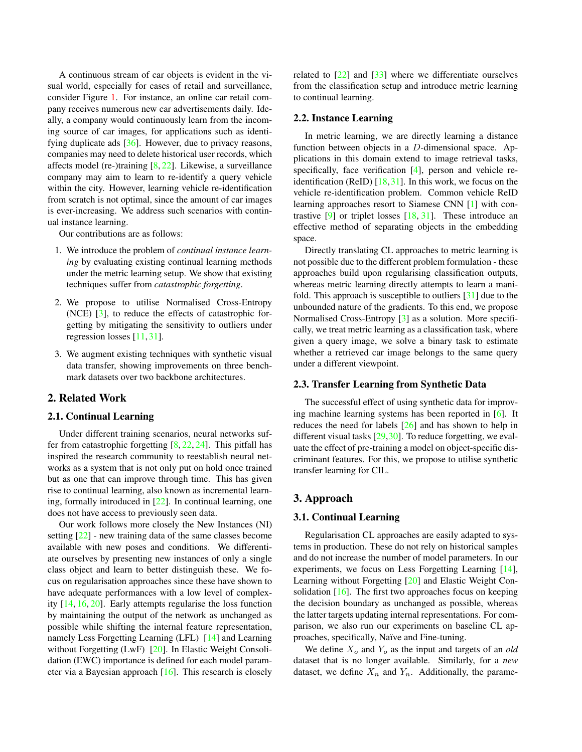A continuous stream of car objects is evident in the visual world, especially for cases of retail and surveillance, consider Figure 1. For instance, an online car retail company receives numerous new car advertisements daily. Ideally, a company would continuously learn from the incoming source of car images, for applications such as identifying duplicate ads [36]. However, due to privacy reasons, companies may need to delete historical user records, which affects model (re-)training  $[8, 22]$ . Likewise, a surveillance company may aim to learn to re-identify a query vehicle within the city. However, learning vehicle re-identification from scratch is not optimal, since the amount of car images is ever-increasing. We address such scenarios with continual instance learning.

Our contributions are as follows:

- 1. We introduce the problem of *continual instance learning* by evaluating existing continual learning methods under the metric learning setup. We show that existing techniques suffer from *catastrophic forgetting*.
- 2. We propose to utilise Normalised Cross-Entropy (NCE) [3], to reduce the effects of catastrophic forgetting by mitigating the sensitivity to outliers under regression losses [11, 31].
- 3. We augment existing techniques with synthetic visual data transfer, showing improvements on three benchmark datasets over two backbone architectures.

### 2. Related Work

#### 2.1. Continual Learning

Under different training scenarios, neural networks suffer from catastrophic forgetting  $[8, 22, 24]$ . This pitfall has inspired the research community to reestablish neural networks as a system that is not only put on hold once trained but as one that can improve through time. This has given rise to continual learning, also known as incremental learning, formally introduced in [22]. In continual learning, one does not have access to previously seen data.

Our work follows more closely the New Instances (NI) setting [22] - new training data of the same classes become available with new poses and conditions. We differentiate ourselves by presenting new instances of only a single class object and learn to better distinguish these. We focus on regularisation approaches since these have shown to have adequate performances with a low level of complexity [14, 16, 20]. Early attempts regularise the loss function by maintaining the output of the network as unchanged as possible while shifting the internal feature representation, namely Less Forgetting Learning (LFL) [14] and Learning without Forgetting (LwF) [20]. In Elastic Weight Consolidation (EWC) importance is defined for each model parameter via a Bayesian approach [16]. This research is closely related to [22] and [33] where we differentiate ourselves from the classification setup and introduce metric learning to continual learning.

#### 2.2. Instance Learning

In metric learning, we are directly learning a distance function between objects in a D-dimensional space. Applications in this domain extend to image retrieval tasks, specifically, face verification [4], person and vehicle reidentification (ReID)  $[18,31]$ . In this work, we focus on the vehicle re-identification problem. Common vehicle ReID learning approaches resort to Siamese CNN [1] with contrastive [9] or triplet losses [18, 31]. These introduce an effective method of separating objects in the embedding space.

Directly translating CL approaches to metric learning is not possible due to the different problem formulation - these approaches build upon regularising classification outputs, whereas metric learning directly attempts to learn a manifold. This approach is susceptible to outliers [31] due to the unbounded nature of the gradients. To this end, we propose Normalised Cross-Entropy [3] as a solution. More specifically, we treat metric learning as a classification task, where given a query image, we solve a binary task to estimate whether a retrieved car image belongs to the same query under a different viewpoint.

#### 2.3. Transfer Learning from Synthetic Data

The successful effect of using synthetic data for improving machine learning systems has been reported in [6]. It reduces the need for labels [26] and has shown to help in different visual tasks [29,30]. To reduce forgetting, we evaluate the effect of pre-training a model on object-specific discriminant features. For this, we propose to utilise synthetic transfer learning for CIL.

# 3. Approach

### 3.1. Continual Learning

Regularisation CL approaches are easily adapted to systems in production. These do not rely on historical samples and do not increase the number of model parameters. In our experiments, we focus on Less Forgetting Learning [14], Learning without Forgetting [20] and Elastic Weight Consolidation  $[16]$ . The first two approaches focus on keeping the decision boundary as unchanged as possible, whereas the latter targets updating internal representations. For comparison, we also run our experiments on baseline CL approaches, specifically, Naïve and Fine-tuning.

We define  $X_o$  and  $Y_o$  as the input and targets of an *old* dataset that is no longer available. Similarly, for a *new* dataset, we define  $X_n$  and  $Y_n$ . Additionally, the parame-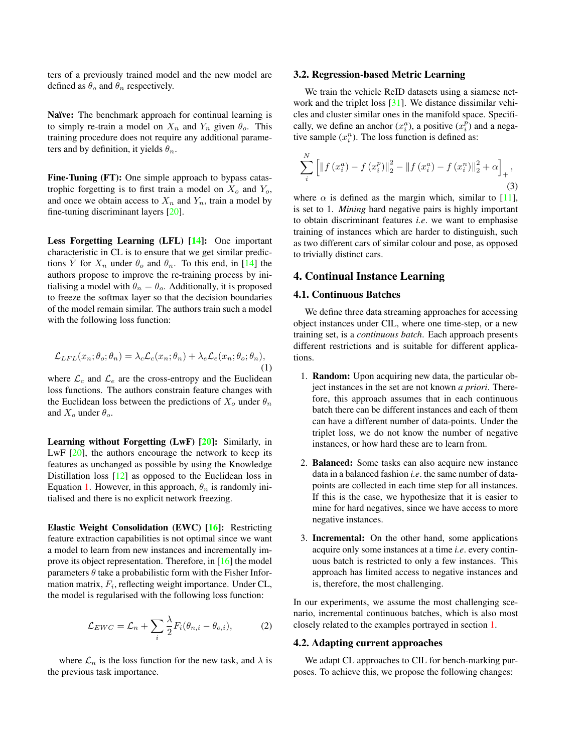ters of a previously trained model and the new model are defined as  $\theta_o$  and  $\theta_n$  respectively.

Naïve: The benchmark approach for continual learning is to simply re-train a model on  $X_n$  and  $Y_n$  given  $\theta_o$ . This training procedure does not require any additional parameters and by definition, it yields  $\theta_n$ .

Fine-Tuning (FT): One simple approach to bypass catastrophic forgetting is to first train a model on  $X_o$  and  $Y_o$ , and once we obtain access to  $X_n$  and  $Y_n$ , train a model by fine-tuning discriminant layers [20].

Less Forgetting Learning (LFL) [14]: One important characteristic in CL is to ensure that we get similar predictions  $\hat{Y}$  for  $X_n$  under  $\theta_o$  and  $\theta_n$ . To this end, in [14] the authors propose to improve the re-training process by initialising a model with  $\theta_n = \theta_o$ . Additionally, it is proposed to freeze the softmax layer so that the decision boundaries of the model remain similar. The authors train such a model with the following loss function:

$$
\mathcal{L}_{LFL}(x_n; \theta_o; \theta_n) = \lambda_c \mathcal{L}_c(x_n; \theta_n) + \lambda_e \mathcal{L}_e(x_n; \theta_o; \theta_n),
$$
\n(1)

where  $\mathcal{L}_c$  and  $\mathcal{L}_e$  are the cross-entropy and the Euclidean loss functions. The authors constrain feature changes with the Euclidean loss between the predictions of  $X_o$  under  $\theta_n$ and  $X_o$  under  $\theta_o$ .

Learning without Forgetting (LwF) [20]: Similarly, in LwF  $[20]$ , the authors encourage the network to keep its features as unchanged as possible by using the Knowledge Distillation loss [12] as opposed to the Euclidean loss in Equation 1. However, in this approach,  $\theta_n$  is randomly initialised and there is no explicit network freezing.

Elastic Weight Consolidation (EWC) [16]: Restricting feature extraction capabilities is not optimal since we want a model to learn from new instances and incrementally improve its object representation. Therefore, in [16] the model parameters  $\theta$  take a probabilistic form with the Fisher Information matrix,  $F_i$ , reflecting weight importance. Under CL, the model is regularised with the following loss function:

$$
\mathcal{L}_{EWC} = \mathcal{L}_n + \sum_i \frac{\lambda}{2} F_i(\theta_{n,i} - \theta_{o,i}), \tag{2}
$$

where  $\mathcal{L}_n$  is the loss function for the new task, and  $\lambda$  is the previous task importance.

#### 3.2. Regression-based Metric Learning

We train the vehicle ReID datasets using a siamese network and the triplet loss [31]. We distance dissimilar vehicles and cluster similar ones in the manifold space. Specifically, we define an anchor  $(x_i^a)$ , a positive  $(x_i^{\tilde{p}})$  and a negative sample  $(x_i^n)$ . The loss function is defined as:

$$
\sum_{i}^{N} \left[ \left\| f\left(x_{i}^{a}\right) - f\left(x_{i}^{p}\right) \right\|_{2}^{2} - \left\| f\left(x_{i}^{a}\right) - f\left(x_{i}^{n}\right) \right\|_{2}^{2} + \alpha \right]_{+},
$$
\n(3)

where  $\alpha$  is defined as the margin which, similar to [11], is set to 1. *Mining* hard negative pairs is highly important to obtain discriminant features *i.e*. we want to emphasise training of instances which are harder to distinguish, such as two different cars of similar colour and pose, as opposed to trivially distinct cars.

# 4. Continual Instance Learning

#### 4.1. Continuous Batches

We define three data streaming approaches for accessing object instances under CIL, where one time-step, or a new training set, is a *continuous batch*. Each approach presents different restrictions and is suitable for different applications.

- 1. Random: Upon acquiring new data, the particular object instances in the set are not known *a priori*. Therefore, this approach assumes that in each continuous batch there can be different instances and each of them can have a different number of data-points. Under the triplet loss, we do not know the number of negative instances, or how hard these are to learn from.
- 2. Balanced: Some tasks can also acquire new instance data in a balanced fashion *i.e*. the same number of datapoints are collected in each time step for all instances. If this is the case, we hypothesize that it is easier to mine for hard negatives, since we have access to more negative instances.
- 3. Incremental: On the other hand, some applications acquire only some instances at a time *i.e*. every continuous batch is restricted to only a few instances. This approach has limited access to negative instances and is, therefore, the most challenging.

In our experiments, we assume the most challenging scenario, incremental continuous batches, which is also most closely related to the examples portrayed in section 1.

#### 4.2. Adapting current approaches

We adapt CL approaches to CIL for bench-marking purposes. To achieve this, we propose the following changes: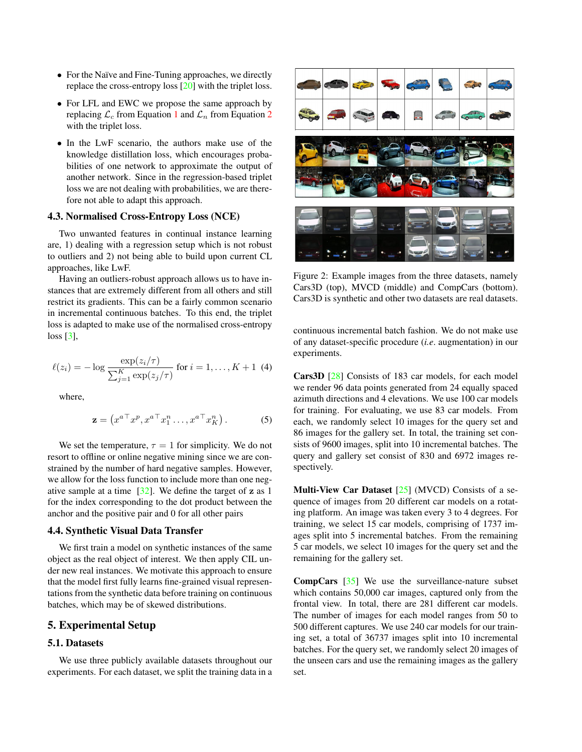- For the Naïve and Fine-Tuning approaches, we directly replace the cross-entropy loss [20] with the triplet loss.
- For LFL and EWC we propose the same approach by replacing  $\mathcal{L}_c$  from Equation 1 and  $\mathcal{L}_n$  from Equation 2 with the triplet loss.
- In the LwF scenario, the authors make use of the knowledge distillation loss, which encourages probabilities of one network to approximate the output of another network. Since in the regression-based triplet loss we are not dealing with probabilities, we are therefore not able to adapt this approach.

# 4.3. Normalised Cross-Entropy Loss (NCE)

Two unwanted features in continual instance learning are, 1) dealing with a regression setup which is not robust to outliers and 2) not being able to build upon current CL approaches, like LwF.

Having an outliers-robust approach allows us to have instances that are extremely different from all others and still restrict its gradients. This can be a fairly common scenario in incremental continuous batches. To this end, the triplet loss is adapted to make use of the normalised cross-entropy loss [3],

$$
\ell(z_i) = -\log \frac{\exp(z_i/\tau)}{\sum_{j=1}^K \exp(z_j/\tau)} \text{ for } i = 1, ..., K+1 \text{ (4)}
$$

where,

$$
\mathbf{z} = \left(x^{a \top} x^p, x^{a \top} x_1^n \dots, x^{a \top} x_K^n\right). \tag{5}
$$

We set the temperature,  $\tau = 1$  for simplicity. We do not resort to offline or online negative mining since we are constrained by the number of hard negative samples. However, we allow for the loss function to include more than one negative sample at a time  $[32]$ . We define the target of z as 1 for the index corresponding to the dot product between the anchor and the positive pair and 0 for all other pairs

#### 4.4. Synthetic Visual Data Transfer

We first train a model on synthetic instances of the same object as the real object of interest. We then apply CIL under new real instances. We motivate this approach to ensure that the model first fully learns fine-grained visual representations from the synthetic data before training on continuous batches, which may be of skewed distributions.

# 5. Experimental Setup

# 5.1. Datasets

We use three publicly available datasets throughout our experiments. For each dataset, we split the training data in a



Figure 2: Example images from the three datasets, namely Cars3D (top), MVCD (middle) and CompCars (bottom). Cars3D is synthetic and other two datasets are real datasets.

continuous incremental batch fashion. We do not make use of any dataset-specific procedure (*i.e*. augmentation) in our experiments.

Cars3D [28] Consists of 183 car models, for each model we render 96 data points generated from 24 equally spaced azimuth directions and 4 elevations. We use 100 car models for training. For evaluating, we use 83 car models. From each, we randomly select 10 images for the query set and 86 images for the gallery set. In total, the training set consists of 9600 images, split into 10 incremental batches. The query and gallery set consist of 830 and 6972 images respectively.

Multi-View Car Dataset  $[25]$  (MVCD) Consists of a sequence of images from 20 different car models on a rotating platform. An image was taken every 3 to 4 degrees. For training, we select 15 car models, comprising of 1737 images split into 5 incremental batches. From the remaining 5 car models, we select 10 images for the query set and the remaining for the gallery set.

CompCars [35] We use the surveillance-nature subset which contains 50,000 car images, captured only from the frontal view. In total, there are 281 different car models. The number of images for each model ranges from 50 to 500 different captures. We use 240 car models for our training set, a total of 36737 images split into 10 incremental batches. For the query set, we randomly select 20 images of the unseen cars and use the remaining images as the gallery set.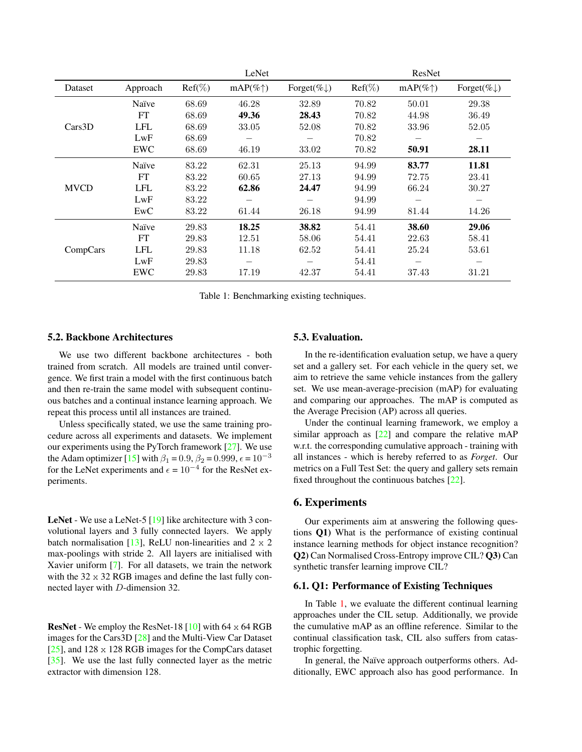|             |            |           | LeNet              |                         |           | ResNet             |                         |
|-------------|------------|-----------|--------------------|-------------------------|-----------|--------------------|-------------------------|
| Dataset     | Approach   | $Ref(\%)$ | $mAP(\% \uparrow)$ | Forget(% $\downarrow$ ) | $Ref(\%)$ | $mAP(\% \uparrow)$ | Forget(% $\downarrow$ ) |
| Cars3D      | Naïve      | 68.69     | 46.28              | 32.89                   | 70.82     | 50.01              | 29.38                   |
|             | FT         | 68.69     | 49.36              | 28.43                   | 70.82     | 44.98              | 36.49                   |
|             | <b>LFL</b> | 68.69     | 33.05              | 52.08                   | 70.82     | 33.96              | 52.05                   |
|             | LwF        | 68.69     |                    |                         | 70.82     |                    |                         |
|             | <b>EWC</b> | 68.69     | 46.19              | 33.02                   | 70.82     | 50.91              | 28.11                   |
| <b>MVCD</b> | Naïve      | 83.22     | 62.31              | 25.13                   | 94.99     | 83.77              | 11.81                   |
|             | FT         | 83.22     | 60.65              | 27.13                   | 94.99     | 72.75              | 23.41                   |
|             | <b>LFL</b> | 83.22     | 62.86              | 24.47                   | 94.99     | 66.24              | 30.27                   |
|             | LwF        | 83.22     |                    |                         | 94.99     |                    | —                       |
|             | EwC        | 83.22     | 61.44              | 26.18                   | 94.99     | 81.44              | 14.26                   |
| CompCars    | Naïve      | 29.83     | 18.25              | 38.82                   | 54.41     | 38.60              | 29.06                   |
|             | FT         | 29.83     | 12.51              | 58.06                   | 54.41     | 22.63              | 58.41                   |
|             | <b>LFL</b> | 29.83     | 11.18              | 62.52                   | 54.41     | 25.24              | 53.61                   |
|             | LwF        | 29.83     |                    |                         | 54.41     |                    |                         |
|             | EWC        | 29.83     | 17.19              | 42.37                   | 54.41     | 37.43              | 31.21                   |

Table 1: Benchmarking existing techniques.

# 5.2. Backbone Architectures

We use two different backbone architectures - both trained from scratch. All models are trained until convergence. We first train a model with the first continuous batch and then re-train the same model with subsequent continuous batches and a continual instance learning approach. We repeat this process until all instances are trained.

Unless specifically stated, we use the same training procedure across all experiments and datasets. We implement our experiments using the PyTorch framework [27]. We use the Adam optimizer [15] with  $\beta_1 = 0.9$ ,  $\beta_2 = 0.999$ ,  $\epsilon = 10^{-3}$ for the LeNet experiments and  $\epsilon = 10^{-4}$  for the ResNet experiments.

LeNet - We use a LeNet-5 [19] like architecture with 3 convolutional layers and 3 fully connected layers. We apply batch normalisation [13], ReLU non-linearities and  $2 \times 2$ max-poolings with stride 2. All layers are initialised with Xavier uniform [7]. For all datasets, we train the network with the  $32 \times 32$  RGB images and define the last fully connected layer with D-dimension 32.

**ResNet** - We employ the ResNet-18  $[10]$  with 64  $\times$  64 RGB images for the Cars3D [28] and the Multi-View Car Dataset [ $25$ ], and  $128 \times 128$  RGB images for the CompCars dataset [35]. We use the last fully connected layer as the metric extractor with dimension 128.

#### 5.3. Evaluation.

In the re-identification evaluation setup, we have a query set and a gallery set. For each vehicle in the query set, we aim to retrieve the same vehicle instances from the gallery set. We use mean-average-precision (mAP) for evaluating and comparing our approaches. The mAP is computed as the Average Precision (AP) across all queries.

Under the continual learning framework, we employ a similar approach as  $[22]$  and compare the relative mAP w.r.t. the corresponding cumulative approach - training with all instances - which is hereby referred to as *Forget*. Our metrics on a Full Test Set: the query and gallery sets remain fixed throughout the continuous batches [22].

#### 6. Experiments

Our experiments aim at answering the following questions Q1) What is the performance of existing continual instance learning methods for object instance recognition? Q2) Can Normalised Cross-Entropy improve CIL? Q3) Can synthetic transfer learning improve CIL?

#### 6.1. Q1: Performance of Existing Techniques

In Table 1, we evaluate the different continual learning approaches under the CIL setup. Additionally, we provide the cumulative mAP as an offline reference. Similar to the continual classification task, CIL also suffers from catastrophic forgetting.

In general, the Naïve approach outperforms others. Additionally, EWC approach also has good performance. In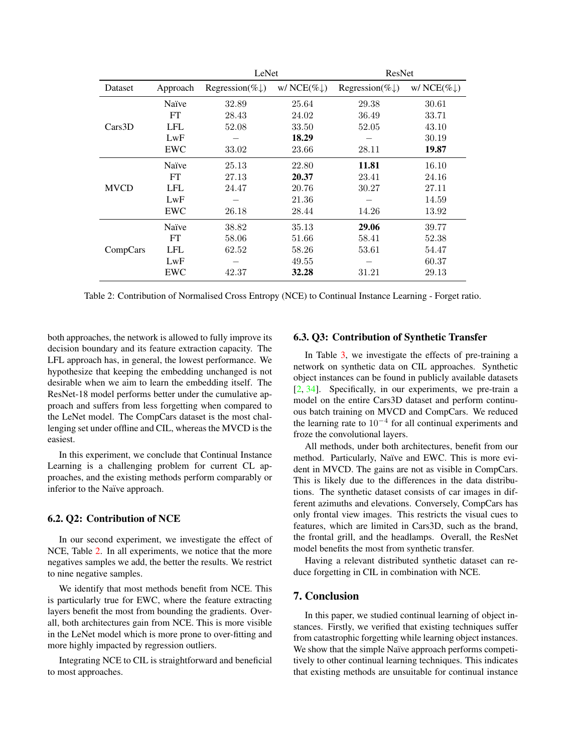|             |            | LeNet                       |                         | ResNet                      |                         |  |
|-------------|------------|-----------------------------|-------------------------|-----------------------------|-------------------------|--|
| Dataset     | Approach   | Regression(% $\downarrow$ ) | w/ NCE(% $\downarrow$ ) | Regression(% $\downarrow$ ) | w/ NCE(% $\downarrow$ ) |  |
| Cars3D      | Naïve      | 32.89                       | 25.64                   | 29.38                       | 30.61                   |  |
|             | FT         | 28.43                       | 24.02                   | 36.49                       | 33.71                   |  |
|             | <b>LFL</b> | 52.08                       | 33.50                   | 52.05                       | 43.10                   |  |
|             | LwF        |                             | 18.29                   |                             | 30.19                   |  |
|             | EWC        | 33.02                       | 23.66                   | 28.11                       | 19.87                   |  |
| <b>MVCD</b> | Naïve      | 25.13                       | 22.80                   | 11.81                       | 16.10                   |  |
|             | <b>FT</b>  | 27.13                       | 20.37                   | 23.41                       | 24.16                   |  |
|             | LFL        | 24.47                       | 20.76                   | 30.27                       | 27.11                   |  |
|             | LwF        |                             | 21.36                   |                             | 14.59                   |  |
|             | EWC        | 26.18                       | 28.44                   | 14.26                       | 13.92                   |  |
| CompCars    | Naïve      | 38.82                       | 35.13                   | 29.06                       | 39.77                   |  |
|             | <b>FT</b>  | 58.06                       | 51.66                   | 58.41                       | 52.38                   |  |
|             | LFL        | 62.52                       | 58.26                   | 53.61                       | 54.47                   |  |
|             | LwF        |                             | 49.55                   |                             | 60.37                   |  |
|             | EWC        | 42.37                       | 32.28                   | 31.21                       | 29.13                   |  |

Table 2: Contribution of Normalised Cross Entropy (NCE) to Continual Instance Learning - Forget ratio.

both approaches, the network is allowed to fully improve its decision boundary and its feature extraction capacity. The LFL approach has, in general, the lowest performance. We hypothesize that keeping the embedding unchanged is not desirable when we aim to learn the embedding itself. The ResNet-18 model performs better under the cumulative approach and suffers from less forgetting when compared to the LeNet model. The CompCars dataset is the most challenging set under offline and CIL, whereas the MVCD is the easiest.

In this experiment, we conclude that Continual Instance Learning is a challenging problem for current CL approaches, and the existing methods perform comparably or inferior to the Naïve approach.

# 6.2. Q2: Contribution of NCE

In our second experiment, we investigate the effect of NCE, Table 2. In all experiments, we notice that the more negatives samples we add, the better the results. We restrict to nine negative samples.

We identify that most methods benefit from NCE. This is particularly true for EWC, where the feature extracting layers benefit the most from bounding the gradients. Overall, both architectures gain from NCE. This is more visible in the LeNet model which is more prone to over-fitting and more highly impacted by regression outliers.

Integrating NCE to CIL is straightforward and beneficial to most approaches.

# 6.3. Q3: Contribution of Synthetic Transfer

In Table 3, we investigate the effects of pre-training a network on synthetic data on CIL approaches. Synthetic object instances can be found in publicly available datasets [2, 34]. Specifically, in our experiments, we pre-train a model on the entire Cars3D dataset and perform continuous batch training on MVCD and CompCars. We reduced the learning rate to 10<sup>−</sup><sup>4</sup> for all continual experiments and froze the convolutional layers.

All methods, under both architectures, benefit from our method. Particularly, Naïve and EWC. This is more evident in MVCD. The gains are not as visible in CompCars. This is likely due to the differences in the data distributions. The synthetic dataset consists of car images in different azimuths and elevations. Conversely, CompCars has only frontal view images. This restricts the visual cues to features, which are limited in Cars3D, such as the brand, the frontal grill, and the headlamps. Overall, the ResNet model benefits the most from synthetic transfer.

Having a relevant distributed synthetic dataset can reduce forgetting in CIL in combination with NCE.

# 7. Conclusion

In this paper, we studied continual learning of object instances. Firstly, we verified that existing techniques suffer from catastrophic forgetting while learning object instances. We show that the simple Naïve approach performs competitively to other continual learning techniques. This indicates that existing methods are unsuitable for continual instance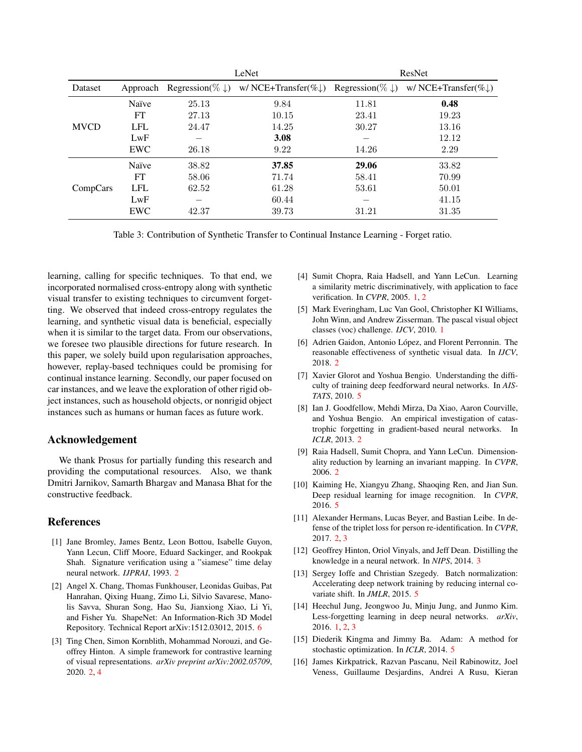|                |            |                             | LeNet                            | ResNet                      |                                  |  |
|----------------|------------|-----------------------------|----------------------------------|-----------------------------|----------------------------------|--|
| <b>Dataset</b> | Approach   | Regression(% $\downarrow$ ) | w/ NCE+Transfer(% $\downarrow$ ) | Regression(% $\downarrow$ ) | w/ NCE+Transfer(% $\downarrow$ ) |  |
| <b>MVCD</b>    | Naïve      | 25.13                       | 9.84                             | 11.81                       | 0.48                             |  |
|                | FT         | 27.13                       | 10.15                            | 23.41                       | 19.23                            |  |
|                | <b>LFL</b> | 24.47                       | 14.25                            | 30.27                       | 13.16                            |  |
|                | LwF        |                             | 3.08                             |                             | 12.12                            |  |
|                | EWC        | 26.18                       | 9.22                             | 14.26                       | 2.29                             |  |
| CompCars       | Naïve      | 38.82                       | 37.85                            | 29.06                       | 33.82                            |  |
|                | FT         | 58.06                       | 71.74                            | 58.41                       | 70.99                            |  |
|                | <b>LFL</b> | 62.52                       | 61.28                            | 53.61                       | 50.01                            |  |
|                | LwF        |                             | 60.44                            |                             | 41.15                            |  |
|                | EWC        | 42.37                       | 39.73                            | 31.21                       | 31.35                            |  |

Table 3: Contribution of Synthetic Transfer to Continual Instance Learning - Forget ratio.

learning, calling for specific techniques. To that end, we incorporated normalised cross-entropy along with synthetic visual transfer to existing techniques to circumvent forgetting. We observed that indeed cross-entropy regulates the learning, and synthetic visual data is beneficial, especially when it is similar to the target data. From our observations, we foresee two plausible directions for future research. In this paper, we solely build upon regularisation approaches, however, replay-based techniques could be promising for continual instance learning. Secondly, our paper focused on car instances, and we leave the exploration of other rigid object instances, such as household objects, or nonrigid object instances such as humans or human faces as future work.

# Acknowledgement

We thank Prosus for partially funding this research and providing the computational resources. Also, we thank Dmitri Jarnikov, Samarth Bhargav and Manasa Bhat for the constructive feedback.

# References

- [1] Jane Bromley, James Bentz, Leon Bottou, Isabelle Guyon, Yann Lecun, Cliff Moore, Eduard Sackinger, and Rookpak Shah. Signature verification using a "siamese" time delay neural network. *IJPRAI*, 1993. 2
- [2] Angel X. Chang, Thomas Funkhouser, Leonidas Guibas, Pat Hanrahan, Qixing Huang, Zimo Li, Silvio Savarese, Manolis Savva, Shuran Song, Hao Su, Jianxiong Xiao, Li Yi, and Fisher Yu. ShapeNet: An Information-Rich 3D Model Repository. Technical Report arXiv:1512.03012, 2015. 6
- [3] Ting Chen, Simon Kornblith, Mohammad Norouzi, and Geoffrey Hinton. A simple framework for contrastive learning of visual representations. *arXiv preprint arXiv:2002.05709*, 2020. 2, 4
- [4] Sumit Chopra, Raia Hadsell, and Yann LeCun. Learning a similarity metric discriminatively, with application to face verification. In *CVPR*, 2005. 1, 2
- [5] Mark Everingham, Luc Van Gool, Christopher KI Williams, John Winn, and Andrew Zisserman. The pascal visual object classes (voc) challenge. *IJCV*, 2010. 1
- [6] Adrien Gaidon, Antonio López, and Florent Perronnin. The reasonable effectiveness of synthetic visual data. In *IJCV*, 2018. 2
- [7] Xavier Glorot and Yoshua Bengio. Understanding the difficulty of training deep feedforward neural networks. In *AIS-TATS*, 2010. 5
- [8] Ian J. Goodfellow, Mehdi Mirza, Da Xiao, Aaron Courville, and Yoshua Bengio. An empirical investigation of catastrophic forgetting in gradient-based neural networks. In *ICLR*, 2013. 2
- [9] Raia Hadsell, Sumit Chopra, and Yann LeCun. Dimensionality reduction by learning an invariant mapping. In *CVPR*, 2006. 2
- [10] Kaiming He, Xiangyu Zhang, Shaoqing Ren, and Jian Sun. Deep residual learning for image recognition. In *CVPR*, 2016. 5
- [11] Alexander Hermans, Lucas Beyer, and Bastian Leibe. In defense of the triplet loss for person re-identification. In *CVPR*, 2017. 2, 3
- [12] Geoffrey Hinton, Oriol Vinyals, and Jeff Dean. Distilling the knowledge in a neural network. In *NIPS*, 2014. 3
- [13] Sergey Ioffe and Christian Szegedy. Batch normalization: Accelerating deep network training by reducing internal covariate shift. In *JMLR*, 2015. 5
- [14] Heechul Jung, Jeongwoo Ju, Minju Jung, and Junmo Kim. Less-forgetting learning in deep neural networks. *arXiv*, 2016. 1, 2, 3
- [15] Diederik Kingma and Jimmy Ba. Adam: A method for stochastic optimization. In *ICLR*, 2014. 5
- [16] James Kirkpatrick, Razvan Pascanu, Neil Rabinowitz, Joel Veness, Guillaume Desjardins, Andrei A Rusu, Kieran